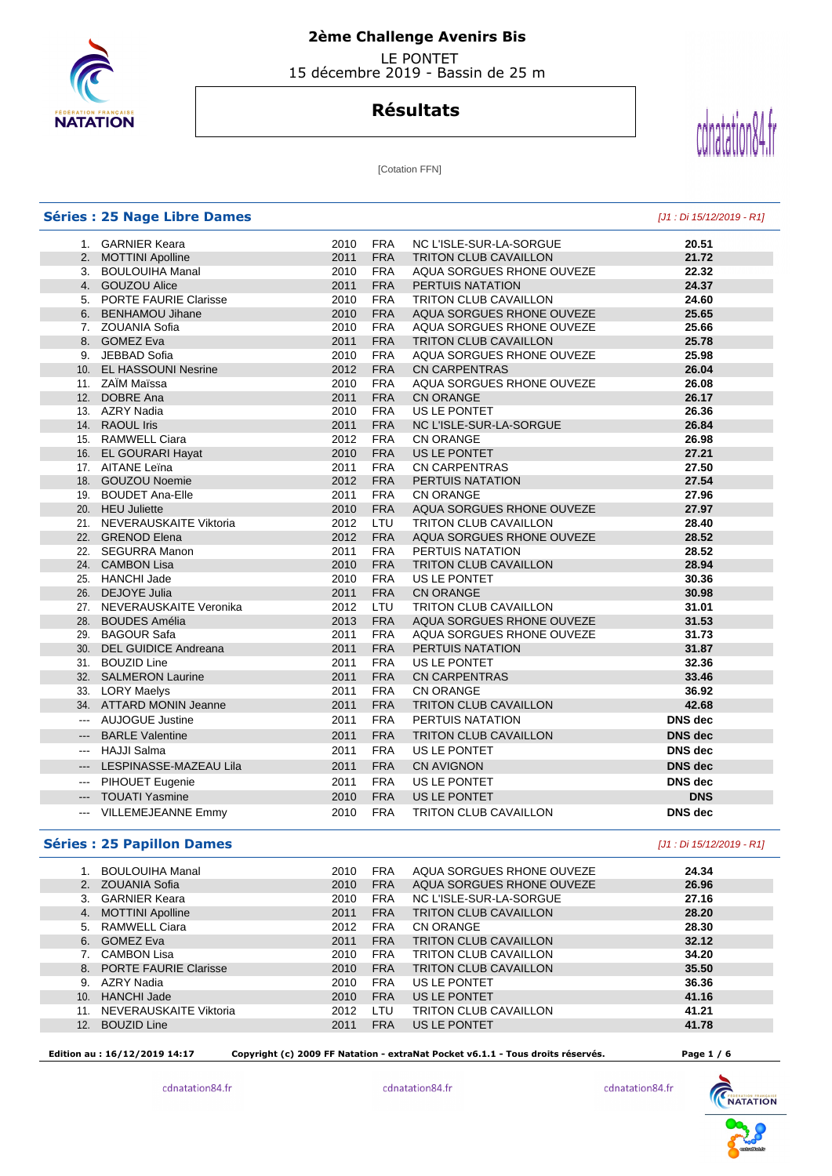

# **2ème Challenge Avenirs Bis**

 LE PONTET 15 décembre 2019 - Bassin de 25 m

# **Résultats**



[Cotation FFN]

|                     | <b>Séries : 25 Nage Libre Dames</b> |      |            |                              | [J1 : Di 15/12/2019 - R1] |
|---------------------|-------------------------------------|------|------------|------------------------------|---------------------------|
|                     | 1. GARNIER Keara                    | 2010 | <b>FRA</b> | NC L'ISLE-SUR-LA-SORGUE      | 20.51                     |
|                     | 2. MOTTINI Apolline                 | 2011 | <b>FRA</b> | <b>TRITON CLUB CAVAILLON</b> | 21.72                     |
|                     | 3. BOULOUIHA Manal                  | 2010 | <b>FRA</b> | AQUA SORGUES RHONE OUVEZE    | 22.32                     |
|                     | 4. GOUZOU Alice                     | 2011 | <b>FRA</b> | PERTUIS NATATION             | 24.37                     |
|                     | 5. PORTE FAURIE Clarisse            | 2010 | <b>FRA</b> | <b>TRITON CLUB CAVAILLON</b> | 24.60                     |
|                     | 6. BENHAMOU Jihane                  | 2010 | <b>FRA</b> | AQUA SORGUES RHONE OUVEZE    | 25.65                     |
|                     | 7. ZOUANIA Sofia                    | 2010 | <b>FRA</b> | AQUA SORGUES RHONE OUVEZE    | 25.66                     |
|                     | 8. GOMEZ Eva                        | 2011 | <b>FRA</b> | <b>TRITON CLUB CAVAILLON</b> | 25.78                     |
|                     | 9. JEBBAD Sofia                     | 2010 | <b>FRA</b> | AQUA SORGUES RHONE OUVEZE    | 25.98                     |
|                     | 10. EL HASSOUNI Nesrine             | 2012 | <b>FRA</b> | <b>CN CARPENTRAS</b>         | 26.04                     |
|                     | 11. ZAÏM Maïssa                     | 2010 | <b>FRA</b> | AQUA SORGUES RHONE OUVEZE    | 26.08                     |
|                     | 12. DOBRE Ana                       | 2011 | <b>FRA</b> | <b>CN ORANGE</b>             | 26.17                     |
|                     | 13. AZRY Nadia                      | 2010 | <b>FRA</b> | US LE PONTET                 | 26.36                     |
|                     | 14. RAOUL Iris                      | 2011 | <b>FRA</b> | NC L'ISLE-SUR-LA-SORGUE      | 26.84                     |
|                     | 15. RAMWELL Ciara                   | 2012 | <b>FRA</b> | <b>CN ORANGE</b>             | 26.98                     |
|                     | 16. EL GOURARI Hayat                | 2010 | <b>FRA</b> | US LE PONTET                 | 27.21                     |
|                     | 17. AITANE Leïna                    | 2011 | <b>FRA</b> | <b>CN CARPENTRAS</b>         | 27.50                     |
|                     | 18. GOUZOU Noemie                   | 2012 | <b>FRA</b> | PERTUIS NATATION             | 27.54                     |
|                     | 19. BOUDET Ana-Elle                 | 2011 | <b>FRA</b> | <b>CN ORANGE</b>             | 27.96                     |
|                     | 20. HEU Juliette                    | 2010 | <b>FRA</b> | AQUA SORGUES RHONE OUVEZE    | 27.97                     |
|                     | 21. NEVERAUSKAITE Viktoria          | 2012 | LTU        | <b>TRITON CLUB CAVAILLON</b> | 28.40                     |
|                     | 22. GRENOD Elena                    | 2012 | <b>FRA</b> | AQUA SORGUES RHONE OUVEZE    | 28.52                     |
|                     | 22. SEGURRA Manon                   | 2011 | <b>FRA</b> | PERTUIS NATATION             | 28.52                     |
|                     | 24. CAMBON Lisa                     | 2010 | <b>FRA</b> | <b>TRITON CLUB CAVAILLON</b> | 28.94                     |
|                     | 25. HANCHI Jade                     | 2010 | <b>FRA</b> | US LE PONTET                 | 30.36                     |
|                     | 26. DEJOYE Julia                    | 2011 | <b>FRA</b> | <b>CN ORANGE</b>             | 30.98                     |
|                     | 27. NEVERAUSKAITE Veronika          | 2012 | LTU.       | <b>TRITON CLUB CAVAILLON</b> | 31.01                     |
|                     | 28. BOUDES Amélia                   | 2013 | <b>FRA</b> | AQUA SORGUES RHONE OUVEZE    | 31.53                     |
|                     | 29. BAGOUR Safa                     | 2011 | <b>FRA</b> | AQUA SORGUES RHONE OUVEZE    | 31.73                     |
|                     | 30. DEL GUIDICE Andreana            | 2011 | <b>FRA</b> | PERTUIS NATATION             | 31.87                     |
|                     | 31. BOUZID Line                     | 2011 | <b>FRA</b> | US LE PONTET                 | 32.36                     |
|                     | 32. SALMERON Laurine                | 2011 | <b>FRA</b> | <b>CN CARPENTRAS</b>         | 33.46                     |
|                     | 33. LORY Maelys                     | 2011 | <b>FRA</b> | <b>CN ORANGE</b>             | 36.92                     |
|                     | 34. ATTARD MONIN Jeanne             | 2011 | <b>FRA</b> | <b>TRITON CLUB CAVAILLON</b> | 42.68                     |
| $\overline{a}$      | <b>AUJOGUE Justine</b>              | 2011 | <b>FRA</b> | PERTUIS NATATION             | DNS dec                   |
| $\qquad \qquad - -$ | <b>BARLE Valentine</b>              | 2011 | <b>FRA</b> | <b>TRITON CLUB CAVAILLON</b> | <b>DNS</b> dec            |
|                     | --- HAJJI Salma                     | 2011 | <b>FRA</b> | US LE PONTET                 | <b>DNS</b> dec            |
|                     | --- LESPINASSE-MAZEAU Lila          | 2011 | <b>FRA</b> | <b>CN AVIGNON</b>            | <b>DNS</b> dec            |
|                     | --- PIHOUET Eugenie                 | 2011 | <b>FRA</b> | US LE PONTET                 | DNS dec                   |
| $\qquad \qquad - -$ | <b>TOUATI Yasmine</b>               | 2010 | <b>FRA</b> | US LE PONTET                 | <b>DNS</b>                |
| $\overline{a}$      | VILLEMEJEANNE Emmy                  | 2010 | <b>FRA</b> | <b>TRITON CLUB CAVAILLON</b> | <b>DNS</b> dec            |

#### **Séries : 25 Papillon Dames** [J1 : Di 15/12/2019 - R1]

I

|                 | <b>BOULOUIHA Manal</b>   | 2010 | <b>FRA</b> | AQUA SORGUES RHONE OUVEZE    | 24.34 |
|-----------------|--------------------------|------|------------|------------------------------|-------|
| 2 <sub>1</sub>  | ZOUANIA Sofia            | 2010 | <b>FRA</b> | AQUA SORGUES RHONE OUVEZE    | 26.96 |
|                 | <b>GARNIER Keara</b>     | 2010 | <b>FRA</b> | NC L'ISLE-SUR-LA-SORGUE      | 27.16 |
| 4.              | <b>MOTTINI Apolline</b>  | 2011 | <b>FRA</b> | <b>TRITON CLUB CAVAILLON</b> | 28.20 |
| 5.              | RAMWELL Ciara            | 2012 | <b>FRA</b> | CN ORANGE                    | 28.30 |
| 6.              | <b>GOMEZ Eva</b>         | 2011 | <b>FRA</b> | <b>TRITON CLUB CAVAILLON</b> | 32.12 |
|                 | CAMBON Lisa              | 2010 | <b>FRA</b> | <b>TRITON CLUB CAVAILLON</b> | 34.20 |
|                 | 8. PORTE FAURIE Clarisse | 2010 | <b>FRA</b> | <b>TRITON CLUB CAVAILLON</b> | 35.50 |
| 9.              | AZRY Nadia               | 2010 | <b>FRA</b> | US LE PONTET                 | 36.36 |
| 10 <sub>1</sub> | <b>HANCHI Jade</b>       | 2010 | <b>FRA</b> | US LE PONTET                 | 41.16 |
|                 | NEVERAUSKAITE Viktoria   | 2012 | LTU        | <b>TRITON CLUB CAVAILLON</b> | 41.21 |
| 12 <sup>1</sup> | <b>BOUZID Line</b>       | 2011 | <b>FRA</b> | US LE PONTET                 | 41.78 |
|                 |                          |      |            |                              |       |

 **Edition au : 16/12/2019 14:17 Copyright (c) 2009 FF Natation - extraNat Pocket v6.1.1 - Tous droits réservés. Page 1 / 6** 

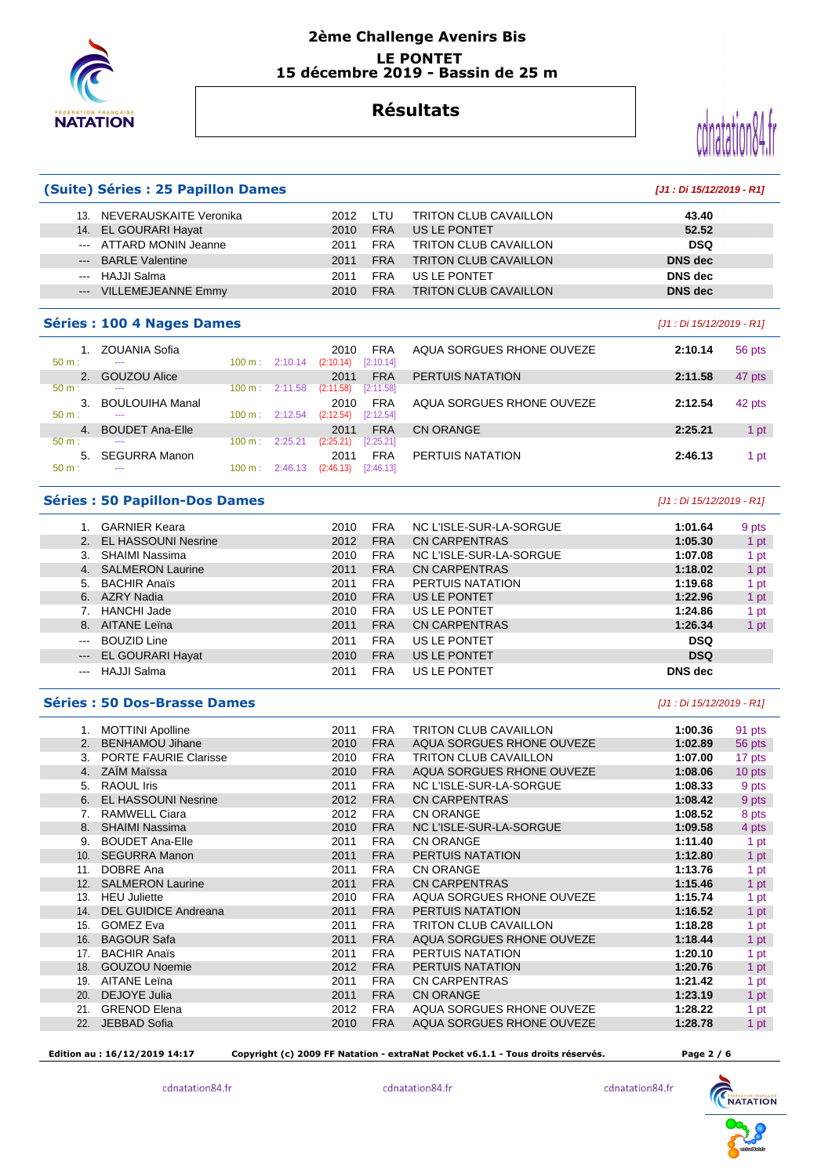

#### **2ème Challenge Avenirs Bis LE PONTET 15 décembre 2019 - Bassin de 25 m**

# **Résultats**



#### **(Suite) Séries : 25 Papillon Dames [J1 : Di 15/12/2019 - R1]**

| NEVERAUSKAITE Veronika<br>13. | I TU<br>2012       | <b>TRITON CLUB CAVAILLON</b> | 43.40      |
|-------------------------------|--------------------|------------------------------|------------|
| 14. EL GOURARI Hayat          | <b>FRA</b><br>2010 | US LE PONTET                 | 52.52      |
| --- ATTARD MONIN Jeanne       | <b>FRA</b><br>2011 | <b>TRITON CLUB CAVAILLON</b> | <b>DSQ</b> |
| --- BARLE Valentine           | <b>FRA</b><br>2011 | <b>TRITON CLUB CAVAILLON</b> | DNS dec    |
| --- HAJJI Salma               | <b>FRA</b><br>2011 | US LE PONTET                 | DNS dec    |
| <b>VILLEMEJEANNE Emmy</b>     | <b>FRA</b><br>2010 | <b>TRITON CLUB CAVAILLON</b> | DNS dec    |
|                               |                    |                              |            |

#### **Séries : 100 4 Nages Dames** [J1 : Di 15/12/2019 - R1]

| $50 m$ :     | <b>ZOUANIA Sofia</b><br>--- | $100 \text{ m}$ : | 2:10.14 | 2010<br>(2:10.14) | <b>FRA</b><br>[2:10.14] | AQUA SORGUES RHONE OUVEZE | 2:10.14 | 56 pts |
|--------------|-----------------------------|-------------------|---------|-------------------|-------------------------|---------------------------|---------|--------|
|              | <b>GOUZOU Alice</b>         |                   |         | 2011              | <b>FRA</b>              | PERTUIS NATATION          | 2:11.58 | 47 pts |
| $50 m$ :     | $- - -$                     | 100 m:            | 2:11.58 | (2:11.58)         | [2:11.58]               |                           |         |        |
| 3.           | <b>BOULOUIHA Manal</b>      |                   |         | 2010              | <b>FRA</b>              | AQUA SORGUES RHONE OUVEZE | 2:12.54 | 42 pts |
| $50 m$ :     | ---                         | 100 m:            | 2:12.54 | (2:12.54)         | [2:12.54]               |                           |         |        |
| $\mathbf{4}$ | <b>BOUDET Ana-Elle</b>      |                   |         | 2011              | FRA                     | CN ORANGE                 | 2:25.21 | 1 pt   |
| $50 m$ :     | $- - -$                     | 100 m:            | 2:25.21 | (2:25.21)         | [2:25.21]               |                           |         |        |
| 5.           | <b>SEGURRA Manon</b>        |                   |         | 201               | <b>FRA</b>              | PERTUIS NATATION          | 2:46.13 | 1 pt   |
| $50 m$ :     | ---                         | $100 \text{ m}$ : | 2:46.13 | (2:46.13)         | [2:46.13]               |                           |         |        |

#### **Séries : 50 Papillon-Dos Dames** [J1 : Di 15/12/2019 - R1]

|                     | <b>GARNIER Keara</b>       | 2010 | <b>FRA</b> | NC L'ISLE-SUR-LA-SORGUE | 1:01.64        | 9 pts |
|---------------------|----------------------------|------|------------|-------------------------|----------------|-------|
|                     | <b>EL HASSOUNI Nesrine</b> | 2012 | <b>FRA</b> | CN CARPENTRAS           | 1:05.30        | 1 pt  |
| 3.                  | SHAIMI Nassima             | 2010 | <b>FRA</b> | NC L'ISLE-SUR-LA-SORGUE | 1:07.08        | 1 pt  |
| 4.                  | <b>SALMERON Laurine</b>    | 2011 | <b>FRA</b> | <b>CN CARPENTRAS</b>    | 1:18.02        | 1 pt  |
| 5.                  | <b>BACHIR Anaïs</b>        | 2011 | <b>FRA</b> | PERTUIS NATATION        | 1:19.68        | 1 pt  |
| 6.                  | AZRY Nadia                 | 2010 | <b>FRA</b> | US LE PONTET            | 1:22.96        | 1 pt  |
|                     | <b>HANCHI Jade</b>         | 2010 | <b>FRA</b> | US LE PONTET            | 1:24.86        | 1 pt  |
| 8.                  | AITANE Leïna               | 2011 | <b>FRA</b> | <b>CN CARPENTRAS</b>    | 1:26.34        | 1 pt  |
| $- - -$             | <b>BOUZID Line</b>         | 2011 | <b>FRA</b> | US LE PONTET            | <b>DSQ</b>     |       |
| $\qquad \qquad - -$ | <b>EL GOURARI Hayat</b>    | 2010 | <b>FRA</b> | US LE PONTET            | <b>DSQ</b>     |       |
|                     | HAJJI Salma                | 2011 | FRA        | US LE PONTET            | <b>DNS</b> dec |       |

#### **Séries : 50 Dos-Brasse Dames and** *Séries* **: 50 Dos-Brasse Dames and** *Séries* **: 50 Dos-Brasse Dames <b>and** *S*

| 1.  | <b>MOTTINI Apolline</b>      | 2011 | <b>FRA</b> | <b>TRITON CLUB CAVAILLON</b> | 1:00.36 | 91 pts |
|-----|------------------------------|------|------------|------------------------------|---------|--------|
| 2.  | <b>BENHAMOU Jihane</b>       | 2010 | <b>FRA</b> | AQUA SORGUES RHONE OUVEZE    | 1:02.89 | 56 pts |
| 3.  | <b>PORTE FAURIE Clarisse</b> | 2010 | <b>FRA</b> | <b>TRITON CLUB CAVAILLON</b> | 1:07.00 | 17 pts |
| 4.  | <b>ZAİM Maissa</b>           | 2010 | <b>FRA</b> | AQUA SORGUES RHONE OUVEZE    | 1:08.06 | 10 pts |
| 5.  | <b>RAOUL Iris</b>            | 2011 | <b>FRA</b> | NC L'ISLE-SUR-LA-SORGUE      | 1:08.33 | 9 pts  |
| 6.  | <b>EL HASSOUNI Nesrine</b>   | 2012 | <b>FRA</b> | <b>CN CARPENTRAS</b>         | 1:08.42 | 9 pts  |
| 7.  | <b>RAMWELL Ciara</b>         | 2012 | <b>FRA</b> | <b>CN ORANGE</b>             | 1:08.52 | 8 pts  |
| 8.  | <b>SHAIMI Nassima</b>        | 2010 | <b>FRA</b> | NC L'ISLE-SUR-LA-SORGUE      | 1:09.58 | 4 pts  |
| 9.  | <b>BOUDET Ana-Elle</b>       | 2011 | <b>FRA</b> | <b>CN ORANGE</b>             | 1:11.40 | 1 pt   |
| 10. | <b>SEGURRA Manon</b>         | 2011 | <b>FRA</b> | PERTUIS NATATION             | 1:12.80 | 1 pt   |
| 11. | DOBRE Ana                    | 2011 | <b>FRA</b> | <b>CN ORANGE</b>             | 1:13.76 | 1 pt   |
| 12. | <b>SALMERON Laurine</b>      | 2011 | <b>FRA</b> | <b>CN CARPENTRAS</b>         | 1:15.46 | 1 pt   |
| 13. | <b>HEU Juliette</b>          | 2010 | <b>FRA</b> | AQUA SORGUES RHONE OUVEZE    | 1:15.74 | 1 pt   |
| 14. | <b>DEL GUIDICE Andreana</b>  | 2011 | <b>FRA</b> | PERTUIS NATATION             | 1:16.52 | 1 pt   |
| 15. | <b>GOMEZ Eva</b>             | 2011 | <b>FRA</b> | <b>TRITON CLUB CAVAILLON</b> | 1:18.28 | 1 pt   |
| 16. | <b>BAGOUR Safa</b>           | 2011 | <b>FRA</b> | AQUA SORGUES RHONE OUVEZE    | 1:18.44 | 1 pt   |
| 17. | <b>BACHIR Anaïs</b>          | 2011 | <b>FRA</b> | PERTUIS NATATION             | 1:20.10 | 1 pt   |
| 18. | <b>GOUZOU Noemie</b>         | 2012 | <b>FRA</b> | PERTUIS NATATION             | 1:20.76 | 1 pt   |
| 19. | <b>AITANE Leina</b>          | 2011 | <b>FRA</b> | <b>CN CARPENTRAS</b>         | 1:21.42 | 1 pt   |
| 20. | <b>DEJOYE Julia</b>          | 2011 | <b>FRA</b> | <b>CN ORANGE</b>             | 1:23.19 | 1 pt   |
| 21. | <b>GRENOD Elena</b>          | 2012 | <b>FRA</b> | AQUA SORGUES RHONE OUVEZE    | 1:28.22 | 1 pt   |
| 22. | JEBBAD Sofia                 | 2010 | <b>FRA</b> | AQUA SORGUES RHONE OUVEZE    | 1:28.78 | 1 pt   |
|     |                              |      |            |                              |         |        |

 **Edition au : 16/12/2019 14:17 Copyright (c) 2009 FF Natation - extraNat Pocket v6.1.1 - Tous droits réservés. Page 2 / 6** 

cdnatation84.fr



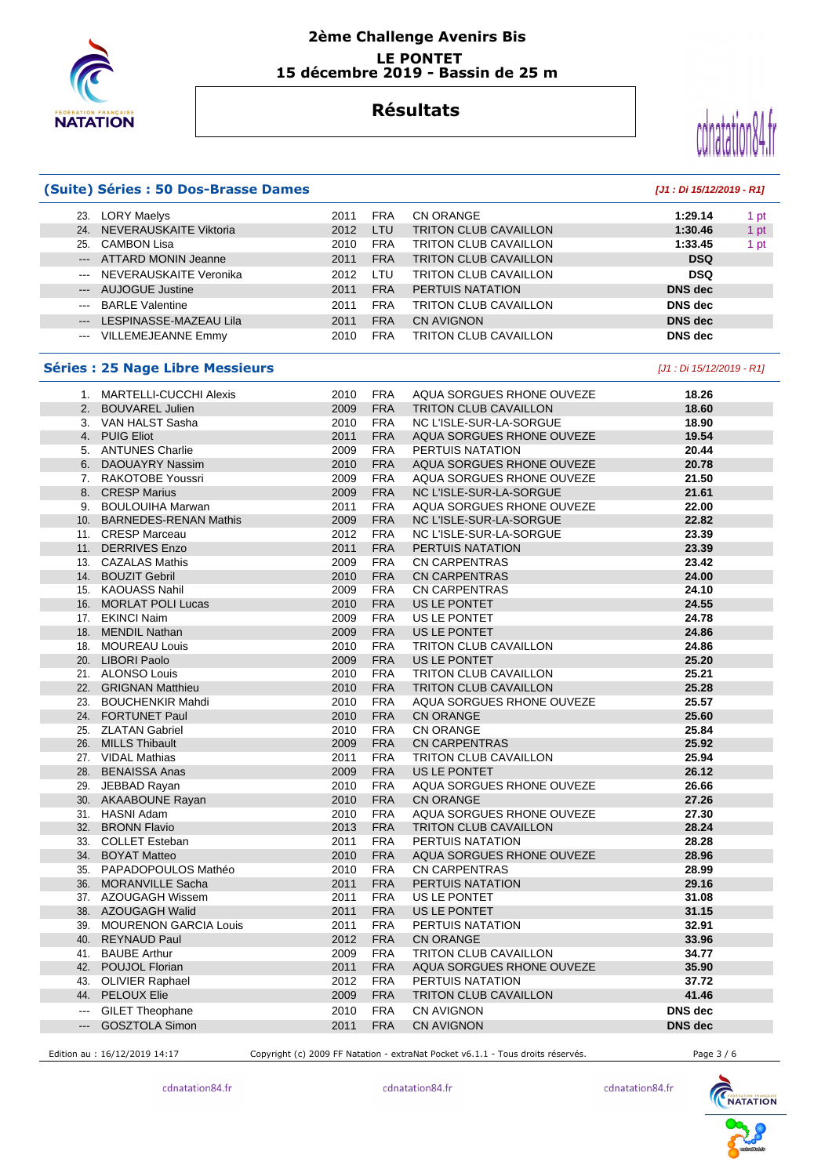

### **2ème Challenge Avenirs Bis LE PONTET 15 décembre 2019 - Bassin de 25 m**

## **Résultats**



|                                                                                                                                                                                                                                                                                                                                                                                                                                                                            | (Suite) Séries : 50 Dos-Brasse Dames    |      |             |                              | [J1 : Di 15/12/2019 - R1] |
|----------------------------------------------------------------------------------------------------------------------------------------------------------------------------------------------------------------------------------------------------------------------------------------------------------------------------------------------------------------------------------------------------------------------------------------------------------------------------|-----------------------------------------|------|-------------|------------------------------|---------------------------|
|                                                                                                                                                                                                                                                                                                                                                                                                                                                                            | 23. LORY Maelys                         | 2011 | <b>FRA</b>  | CN ORANGE                    | 1:29.14<br>1 pt           |
|                                                                                                                                                                                                                                                                                                                                                                                                                                                                            | 24. NEVERAUSKAITE Viktoria              | 2012 | LTU         | <b>TRITON CLUB CAVAILLON</b> | 1:30.46<br>1 pt           |
|                                                                                                                                                                                                                                                                                                                                                                                                                                                                            | 25. CAMBON Lisa                         | 2010 | <b>FRA</b>  | <b>TRITON CLUB CAVAILLON</b> | 1:33.45<br>1 pt           |
|                                                                                                                                                                                                                                                                                                                                                                                                                                                                            | --- ATTARD MONIN Jeanne                 | 2011 | <b>FRA</b>  | <b>TRITON CLUB CAVAILLON</b> | <b>DSQ</b>                |
| $\sim$ $\sim$                                                                                                                                                                                                                                                                                                                                                                                                                                                              | NEVERAUSKAITE Veronika                  | 2012 | LTU         | <b>TRITON CLUB CAVAILLON</b> | <b>DSQ</b>                |
| $---$                                                                                                                                                                                                                                                                                                                                                                                                                                                                      | <b>AUJOGUE Justine</b>                  | 2011 | <b>FRA</b>  | PERTUIS NATATION             | <b>DNS</b> dec            |
| $\frac{1}{2} \left( \frac{1}{2} \right) \left( \frac{1}{2} \right) \left( \frac{1}{2} \right) \left( \frac{1}{2} \right) \left( \frac{1}{2} \right) \left( \frac{1}{2} \right) \left( \frac{1}{2} \right) \left( \frac{1}{2} \right) \left( \frac{1}{2} \right) \left( \frac{1}{2} \right) \left( \frac{1}{2} \right) \left( \frac{1}{2} \right) \left( \frac{1}{2} \right) \left( \frac{1}{2} \right) \left( \frac{1}{2} \right) \left( \frac{1}{2} \right) \left( \frac$ | <b>BARLE Valentine</b>                  | 2011 | <b>FRA</b>  | <b>TRITON CLUB CAVAILLON</b> | <b>DNS</b> dec            |
| $\qquad \qquad - -$                                                                                                                                                                                                                                                                                                                                                                                                                                                        | LESPINASSE-MAZEAU Lila                  | 2011 | <b>FRA</b>  | <b>CN AVIGNON</b>            | <b>DNS dec</b>            |
|                                                                                                                                                                                                                                                                                                                                                                                                                                                                            | --- VILLEMEJEANNE Emmy                  | 2010 | <b>FRA</b>  | <b>TRITON CLUB CAVAILLON</b> | <b>DNS</b> dec            |
|                                                                                                                                                                                                                                                                                                                                                                                                                                                                            | <b>Séries : 25 Nage Libre Messieurs</b> |      |             |                              | [J1 : Di 15/12/2019 - R1] |
|                                                                                                                                                                                                                                                                                                                                                                                                                                                                            | 1. MARTELLI-CUCCHI Alexis               | 2010 | <b>FRA</b>  | AQUA SORGUES RHONE OUVEZE    | 18.26                     |
|                                                                                                                                                                                                                                                                                                                                                                                                                                                                            | 2. BOUVAREL Julien                      | 2009 | <b>FRA</b>  | TRITON CLUB CAVAILLON        | 18.60                     |
|                                                                                                                                                                                                                                                                                                                                                                                                                                                                            | 3. VAN HALST Sasha                      | 2010 | <b>FRA</b>  | NC L'ISLE-SUR-LA-SORGUE      | 18.90                     |
|                                                                                                                                                                                                                                                                                                                                                                                                                                                                            | 4. PUIG Eliot                           | 2011 | <b>FRA</b>  | AQUA SORGUES RHONE OUVEZE    | 19.54                     |
|                                                                                                                                                                                                                                                                                                                                                                                                                                                                            | 5. ANTUNES Charlie                      | 2009 | <b>FRA</b>  | PERTUIS NATATION             | 20.44                     |
|                                                                                                                                                                                                                                                                                                                                                                                                                                                                            | 6. DAOUAYRY Nassim                      | 2010 | <b>FRA</b>  | AQUA SORGUES RHONE OUVEZE    | 20.78                     |
|                                                                                                                                                                                                                                                                                                                                                                                                                                                                            | 7. RAKOTOBE Youssri                     | 2009 | <b>FRA</b>  | AQUA SORGUES RHONE OUVEZE    | 21.50                     |
|                                                                                                                                                                                                                                                                                                                                                                                                                                                                            | 8. CRESP Marius                         | 2009 | <b>FRA</b>  | NC L'ISLE-SUR-LA-SORGUE      | 21.61                     |
|                                                                                                                                                                                                                                                                                                                                                                                                                                                                            | 9. BOULOUIHA Marwan                     | 2011 | FRA         | AQUA SORGUES RHONE OUVEZE    | 22.00                     |
|                                                                                                                                                                                                                                                                                                                                                                                                                                                                            | 10. BARNEDES-RENAN Mathis               | 2009 | <b>FRA</b>  | NC L'ISLE-SUR-LA-SORGUE      | 22.82                     |
|                                                                                                                                                                                                                                                                                                                                                                                                                                                                            | 11. CRESP Marceau                       | 2012 | <b>FRA</b>  | NC L'ISLE-SUR-LA-SORGUE      | 23.39                     |
|                                                                                                                                                                                                                                                                                                                                                                                                                                                                            | 11. DERRIVES Enzo                       | 2011 | <b>FRA</b>  | PERTUIS NATATION             | 23.39                     |
|                                                                                                                                                                                                                                                                                                                                                                                                                                                                            | 13. CAZALAS Mathis                      | 2009 | <b>FRA</b>  | <b>CN CARPENTRAS</b>         | 23.42                     |
|                                                                                                                                                                                                                                                                                                                                                                                                                                                                            | 14. BOUZIT Gebril                       | 2010 | <b>FRA</b>  | <b>CN CARPENTRAS</b>         | 24.00                     |
|                                                                                                                                                                                                                                                                                                                                                                                                                                                                            | 15. KAOUASS Nahil                       | 2009 | FRA         | <b>CN CARPENTRAS</b>         | 24.10                     |
|                                                                                                                                                                                                                                                                                                                                                                                                                                                                            | 16. MORLAT POLI Lucas                   | 2010 | <b>FRA</b>  | US LE PONTET                 | 24.55                     |
|                                                                                                                                                                                                                                                                                                                                                                                                                                                                            | 17. EKINCI Naim                         | 2009 | <b>FRA</b>  | US LE PONTET                 | 24.78                     |
|                                                                                                                                                                                                                                                                                                                                                                                                                                                                            | 18. MENDIL Nathan                       | 2009 | <b>FRA</b>  | US LE PONTET                 | 24.86                     |
|                                                                                                                                                                                                                                                                                                                                                                                                                                                                            | 18. MOUREAU Louis                       | 2010 | <b>FRA</b>  | <b>TRITON CLUB CAVAILLON</b> | 24.86                     |
|                                                                                                                                                                                                                                                                                                                                                                                                                                                                            | 20. LIBORI Paolo                        | 2009 | <b>FRA</b>  | US LE PONTET                 | 25.20                     |
|                                                                                                                                                                                                                                                                                                                                                                                                                                                                            | 21. ALONSO Louis                        | 2010 | <b>FRA</b>  | <b>TRITON CLUB CAVAILLON</b> | 25.21                     |
|                                                                                                                                                                                                                                                                                                                                                                                                                                                                            | 22. GRIGNAN Matthieu                    | 2010 | <b>FRA</b>  | <b>TRITON CLUB CAVAILLON</b> | 25.28                     |
|                                                                                                                                                                                                                                                                                                                                                                                                                                                                            | 23. BOUCHENKIR Mahdi                    | 2010 | <b>FRA</b>  | AQUA SORGUES RHONE OUVEZE    | 25.57                     |
|                                                                                                                                                                                                                                                                                                                                                                                                                                                                            | 24. FORTUNET Paul                       | 2010 | <b>FRA</b>  | <b>CN ORANGE</b>             | 25.60                     |
|                                                                                                                                                                                                                                                                                                                                                                                                                                                                            | 25. ZLATAN Gabriel                      | 2010 | <b>FRA</b>  | <b>CN ORANGE</b>             | 25.84                     |
|                                                                                                                                                                                                                                                                                                                                                                                                                                                                            | 26. MILLS Thibault                      | 2009 | <b>FRA</b>  | <b>CN CARPENTRAS</b>         | 25.92                     |
|                                                                                                                                                                                                                                                                                                                                                                                                                                                                            | 27. VIDAL Mathias                       | 2011 | FRA         | <b>TRITON CLUB CAVAILLON</b> | 25.94                     |
|                                                                                                                                                                                                                                                                                                                                                                                                                                                                            | 28. BENAISSA Anas                       | 2009 | <b>FRA</b>  | US LE PONTET                 | 26.12                     |
|                                                                                                                                                                                                                                                                                                                                                                                                                                                                            | 29. JEBBAD Rayan                        | 2010 | <b>FRA</b>  | AQUA SORGUES RHONE OUVEZE    | 26.66                     |
|                                                                                                                                                                                                                                                                                                                                                                                                                                                                            | 30. AKAABOUNE Rayan                     | 2010 | ${\sf FRA}$ | CN ORANGE                    | 27.26                     |
|                                                                                                                                                                                                                                                                                                                                                                                                                                                                            | 31. HASNI Adam                          | 2010 | FRA         | AQUA SORGUES RHONE OUVEZE    | 27.30                     |
|                                                                                                                                                                                                                                                                                                                                                                                                                                                                            | 32. BRONN Flavio                        | 2013 | <b>FRA</b>  | TRITON CLUB CAVAILLON        | 28.24                     |
|                                                                                                                                                                                                                                                                                                                                                                                                                                                                            | 33. COLLET Esteban                      | 2011 | <b>FRA</b>  | PERTUIS NATATION             | 28.28                     |
|                                                                                                                                                                                                                                                                                                                                                                                                                                                                            | 34. BOYAT Matteo                        | 2010 | <b>FRA</b>  | AQUA SORGUES RHONE OUVEZE    | 28.96                     |
|                                                                                                                                                                                                                                                                                                                                                                                                                                                                            | 35. PAPADOPOULOS Mathéo                 | 2010 | <b>FRA</b>  | CN CARPENTRAS                | 28.99                     |
|                                                                                                                                                                                                                                                                                                                                                                                                                                                                            | 36. MORANVILLE Sacha                    | 2011 | <b>FRA</b>  | PERTUIS NATATION             | 29.16                     |
|                                                                                                                                                                                                                                                                                                                                                                                                                                                                            | 37. AZOUGAGH Wissem                     | 2011 | FRA         | US LE PONTET                 | 31.08                     |
|                                                                                                                                                                                                                                                                                                                                                                                                                                                                            | 38. AZOUGAGH Walid                      | 2011 | <b>FRA</b>  | US LE PONTET                 | 31.15                     |
|                                                                                                                                                                                                                                                                                                                                                                                                                                                                            | 39. MOURENON GARCIA Louis               | 2011 | <b>FRA</b>  | PERTUIS NATATION             | 32.91                     |
|                                                                                                                                                                                                                                                                                                                                                                                                                                                                            | 40. REYNAUD Paul                        | 2012 | <b>FRA</b>  | <b>CN ORANGE</b>             | 33.96                     |
|                                                                                                                                                                                                                                                                                                                                                                                                                                                                            | 41. BAUBE Arthur                        | 2009 | <b>FRA</b>  | <b>TRITON CLUB CAVAILLON</b> | 34.77                     |
|                                                                                                                                                                                                                                                                                                                                                                                                                                                                            | 42. POUJOL Florian                      | 2011 | <b>FRA</b>  | AQUA SORGUES RHONE OUVEZE    | 35.90                     |
|                                                                                                                                                                                                                                                                                                                                                                                                                                                                            | 43. OLIVIER Raphael                     | 2012 | <b>FRA</b>  | PERTUIS NATATION             | 37.72                     |
|                                                                                                                                                                                                                                                                                                                                                                                                                                                                            | 44. PELOUX Elie                         | 2009 | <b>FRA</b>  | TRITON CLUB CAVAILLON        | 41.46                     |
| $--$                                                                                                                                                                                                                                                                                                                                                                                                                                                                       | <b>GILET Theophane</b>                  | 2010 | <b>FRA</b>  | CN AVIGNON                   | DNS dec                   |
| ---                                                                                                                                                                                                                                                                                                                                                                                                                                                                        | GOSZTOLA Simon                          | 2011 | <b>FRA</b>  | <b>CN AVIGNON</b>            | <b>DNS</b> dec            |
|                                                                                                                                                                                                                                                                                                                                                                                                                                                                            |                                         |      |             |                              |                           |

Edition au : 16/12/2019 14:17 Copyright (c) 2009 FF Natation - extraNat Pocket v6.1.1 - Tous droits réservés. Page 3 / 6



cdnatation84.fr

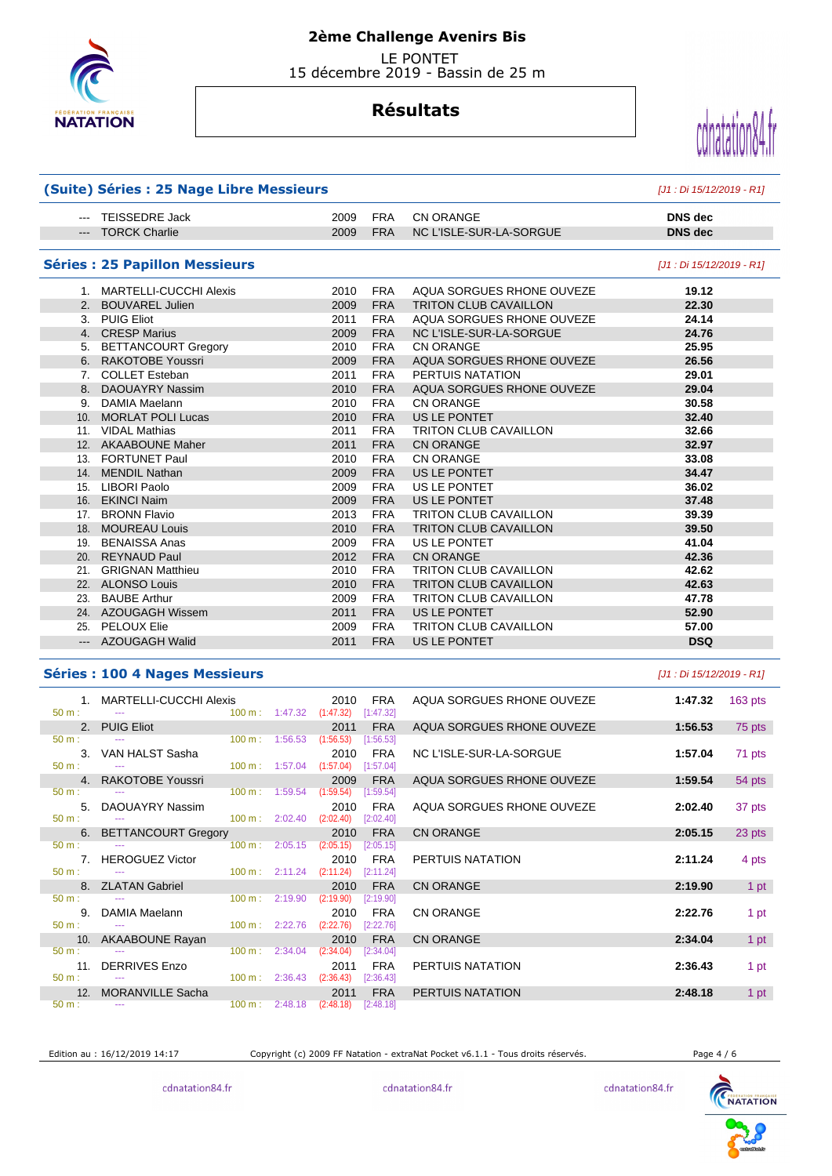

 LE PONTET 15 décembre 2019 - Bassin de 25 m

# **Résultats**



| (Suite) Séries : 25 Nage Libre Messieurs | [J1 : Di 15/12/2019 - R1]             |      |            |                              |                           |
|------------------------------------------|---------------------------------------|------|------------|------------------------------|---------------------------|
| $\frac{1}{2}$                            | TEISSEDRE Jack                        | 2009 | <b>FRA</b> | <b>CN ORANGE</b>             | <b>DNS</b> dec            |
|                                          | --- TORCK Charlie                     | 2009 | <b>FRA</b> | NC L'ISLE-SUR-LA-SORGUE      | <b>DNS</b> dec            |
|                                          | <b>Séries : 25 Papillon Messieurs</b> |      |            |                              | [J1 : Di 15/12/2019 - R1] |
|                                          | 1. MARTELLI-CUCCHI Alexis             | 2010 | <b>FRA</b> | AQUA SORGUES RHONE OUVEZE    | 19.12                     |
|                                          | 2. BOUVAREL Julien                    | 2009 | <b>FRA</b> | <b>TRITON CLUB CAVAILLON</b> | 22.30                     |
|                                          | 3. PUIG Eliot                         | 2011 | <b>FRA</b> | AQUA SORGUES RHONE OUVEZE    | 24.14                     |
|                                          | 4. CRESP Marius                       | 2009 | <b>FRA</b> | NC L'ISLE-SUR-LA-SORGUE      | 24.76                     |
|                                          | 5. BETTANCOURT Gregory                | 2010 | <b>FRA</b> | <b>CN ORANGE</b>             | 25.95                     |
|                                          | 6. RAKOTOBE Youssri                   | 2009 | <b>FRA</b> | AQUA SORGUES RHONE OUVEZE    | 26.56                     |
|                                          | 7. COLLET Esteban                     | 2011 | <b>FRA</b> | PERTUIS NATATION             | 29.01                     |
|                                          | 8. DAOUAYRY Nassim                    | 2010 | <b>FRA</b> | AQUA SORGUES RHONE OUVEZE    | 29.04                     |
|                                          | 9. DAMIA Maelann                      | 2010 | <b>FRA</b> | <b>CN ORANGE</b>             | 30.58                     |
|                                          | 10. MORLAT POLI Lucas                 | 2010 | <b>FRA</b> | US LE PONTET                 | 32.40                     |
|                                          | 11. VIDAL Mathias                     | 2011 | <b>FRA</b> | <b>TRITON CLUB CAVAILLON</b> | 32.66                     |
|                                          | 12. AKAABOUNE Maher                   | 2011 | <b>FRA</b> | <b>CN ORANGE</b>             | 32.97                     |
|                                          | 13. FORTUNET Paul                     | 2010 | <b>FRA</b> | <b>CN ORANGE</b>             | 33.08                     |
|                                          | 14. MENDIL Nathan                     | 2009 | <b>FRA</b> | US LE PONTET                 | 34.47                     |
|                                          | 15. LIBORI Paolo                      | 2009 | <b>FRA</b> | US LE PONTET                 | 36.02                     |
|                                          | 16. EKINCI Naim                       | 2009 | <b>FRA</b> | US LE PONTET                 | 37.48                     |
|                                          | 17. BRONN Flavio                      | 2013 | <b>FRA</b> | <b>TRITON CLUB CAVAILLON</b> | 39.39                     |
|                                          | 18. MOUREAU Louis                     | 2010 | <b>FRA</b> | <b>TRITON CLUB CAVAILLON</b> | 39.50                     |
|                                          | 19. BENAISSA Anas                     | 2009 | <b>FRA</b> | US LE PONTET                 | 41.04                     |
|                                          | 20. REYNAUD Paul                      | 2012 | <b>FRA</b> | <b>CN ORANGE</b>             | 42.36                     |
|                                          | 21. GRIGNAN Matthieu                  | 2010 | <b>FRA</b> | <b>TRITON CLUB CAVAILLON</b> | 42.62                     |
|                                          | 22. ALONSO Louis                      | 2010 | <b>FRA</b> | <b>TRITON CLUB CAVAILLON</b> | 42.63                     |
|                                          | 23. BAUBE Arthur                      | 2009 | <b>FRA</b> | <b>TRITON CLUB CAVAILLON</b> | 47.78                     |
|                                          | 24. AZOUGAGH Wissem                   | 2011 | <b>FRA</b> | US LE PONTET                 | 52.90                     |
|                                          | 25. PELOUX Elie                       | 2009 | <b>FRA</b> | TRITON CLUB CAVAILLON        | 57.00                     |
|                                          | --- AZOUGAGH Walid                    | 2011 | <b>FRA</b> | US LE PONTET                 | <b>DSQ</b>                |

#### **Séries : 100 4 Nages Messieurs** [J1 : Di 15/12/2019 - R1]

|                                | 1. MARTELLI-CUCCHI Alexis<br>$50 \text{ m}$ : $\qquad \qquad \text{---}$                 |  | 2010<br>100 m: 1:47.32 (1:47.32) [1:47.32]                                     | FRA                | AQUA SORGUES RHONE OUVEZE | 1:47.32 | $163$ pts |
|--------------------------------|------------------------------------------------------------------------------------------|--|--------------------------------------------------------------------------------|--------------------|---------------------------|---------|-----------|
|                                | 2. PUIG Eliot                                                                            |  | 2011                                                                           | <b>FRA</b>         | AQUA SORGUES RHONE OUVEZE | 1:56.53 | 75 pts    |
| $50 m$ :                       | $\frac{100 \text{ m}}{1}$ 1.56.53 (1.56.53) [1.56.53]                                    |  |                                                                                |                    |                           |         |           |
| $50 \text{ m}$ : $-$           | 3. VAN HALST Sasha<br>$100 \text{ m}: 1:57.04$ $(1:57.04)$ $[1:57.04]$                   |  | 2010                                                                           | FRA                | NC L'ISLE-SUR-LA-SORGUE   | 1:57.04 | 71 pts    |
|                                | 4. RAKOTOBE Youssri                                                                      |  | 2009                                                                           | <b>FRA</b>         | AQUA SORGUES RHONE OUVEZE | 1:59.54 | 54 pts    |
| $50 \text{ m}$ : $\frac{1}{2}$ | $100 \text{ m}: 1:59.54 (1:59.54) [1:59.54]$                                             |  |                                                                                |                    |                           |         |           |
|                                | 5. DAOUAYRY Nassim                                                                       |  | 2010                                                                           | FRA                | AQUA SORGUES RHONE OUVEZE | 2:02.40 | 37 pts    |
| $50 \text{ m}$ : $\frac{1}{2}$ | $100 \text{ m}$ : 2:02.40 (2:02.40) [2:02.40]                                            |  |                                                                                |                    |                           |         |           |
| $50 m:$ $---$                  | 6. BETTANCOURT Gregory                                                                   |  | $\sim$ 2010 $\sim$ 2010 $\sim$<br>$100 \text{ m}:$ 2:05.15 (2:05.15) [2:05.15] | <b>FRA</b>         | <b>CN ORANGE</b>          | 2:05.15 | 23 pts    |
|                                | 7. HEROGUEZ Victor <b>Example 20</b>                                                     |  | 2010                                                                           | FRA                | PERTUIS NATATION          | 2:11.24 | 4 pts     |
| $50 \text{ m}$ : $-$           | $100 \text{ m}: 2:11.24 (2:11.24) [2:11.24]$                                             |  |                                                                                |                    |                           |         |           |
|                                | 8. ZLATAN Gabriel                                                                        |  | 2010                                                                           | FRA                | <b>CN ORANGE</b>          | 2:19.90 | 1 pt      |
|                                | $50 \text{ m}$ : $\frac{300 \text{ m}}{100 \text{ m}}$ : $\frac{2:19.90}{100 \text{ m}}$ |  | $(2:19.90)$ $[2:19.90]$                                                        |                    |                           |         |           |
|                                | 9. DAMIA Maelann                                                                         |  | 2010                                                                           | FRA                | <b>CN ORANGE</b>          | 2:22.76 | 1 pt      |
|                                | 50 m : --- --- - --- - - - - - - - - - - 100 m : 2:22.76 (2:22.76) [2:22.76]             |  |                                                                                |                    |                           |         |           |
|                                | 10. AKAABOUNE Rayan                                                                      |  | 2010                                                                           | <b>FRA</b>         | <b>CN ORANGE</b>          | 2:34.04 | 1 pt      |
| $50 m$ :                       |                                                                                          |  |                                                                                | $[2:34.04]$        |                           |         |           |
| $50 \text{ m}$ : $-$           | 11. DERRIVES Enzo<br>$100 \text{ m}$ : 2:36.43 (2:36.43)                                 |  | 2011                                                                           | FRA<br>$[2:36.43]$ | PERTUIS NATATION          | 2:36.43 | 1 pt      |
|                                | 12. MORANVILLE Sacha                                                                     |  | 2011                                                                           | <b>FRA</b>         | PERTUIS NATATION          | 2:48.18 | 1 pt      |
| $50 \text{ m}$ : $-$           |                                                                                          |  | 100 m: 2:48.18 (2:48.18) [2:48.18]                                             |                    |                           |         |           |

Edition au : 16/12/2019 14:17 Copyright (c) 2009 FF Natation - extraNat Pocket v6.1.1 - Tous droits réservés. Page 4 / 6



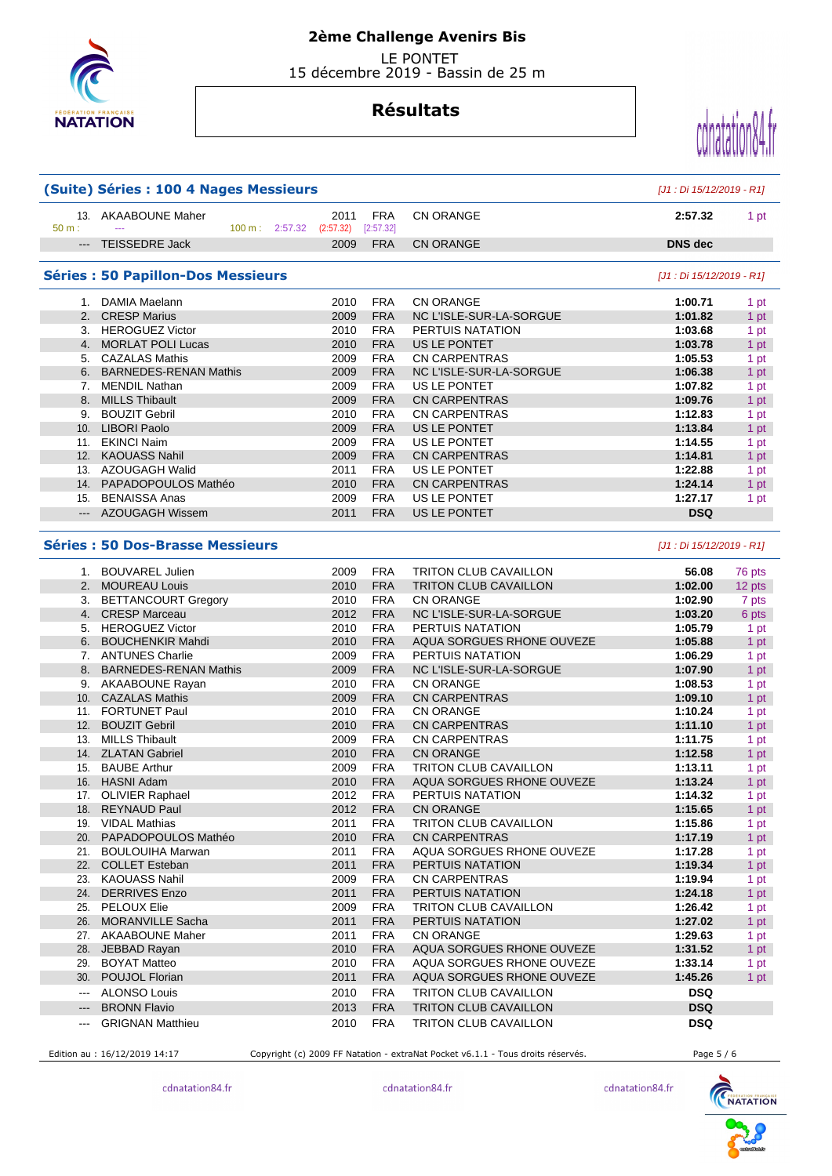

## **2ème Challenge Avenirs Bis**

 LE PONTET 15 décembre 2019 - Bassin de 25 m

# **Résultats**



|                                                                                                                                                                                                                                                                                                                                                                                                                                                                            | (Suite) Séries : 100 4 Nages Messieurs                    |      |            |                              | [J1 : Di 15/12/2019 - R1] |        |
|----------------------------------------------------------------------------------------------------------------------------------------------------------------------------------------------------------------------------------------------------------------------------------------------------------------------------------------------------------------------------------------------------------------------------------------------------------------------------|-----------------------------------------------------------|------|------------|------------------------------|---------------------------|--------|
| 50 m:                                                                                                                                                                                                                                                                                                                                                                                                                                                                      | 13. AKAABOUNE Maher<br>100 m: 2:57.32 (2:57.32) [2:57.32] | 2011 | FRA        | <b>CN ORANGE</b>             | 2:57.32                   | 1 pt   |
| $\qquad \qquad - - -$                                                                                                                                                                                                                                                                                                                                                                                                                                                      | <b>TEISSEDRE Jack</b>                                     | 2009 | <b>FRA</b> | <b>CN ORANGE</b>             | <b>DNS</b> dec            |        |
|                                                                                                                                                                                                                                                                                                                                                                                                                                                                            | <b>Séries : 50 Papillon-Dos Messieurs</b>                 |      |            |                              | [J1 : Di 15/12/2019 - R1] |        |
|                                                                                                                                                                                                                                                                                                                                                                                                                                                                            | 1. DAMIA Maelann                                          | 2010 | <b>FRA</b> | <b>CN ORANGE</b>             | 1:00.71                   | 1 pt   |
|                                                                                                                                                                                                                                                                                                                                                                                                                                                                            | 2. CRESP Marius                                           | 2009 | <b>FRA</b> | NC L'ISLE-SUR-LA-SORGUE      | 1:01.82                   | 1 pt   |
|                                                                                                                                                                                                                                                                                                                                                                                                                                                                            | 3. HEROGUEZ Victor                                        | 2010 | <b>FRA</b> | PERTUIS NATATION             | 1:03.68                   | 1 pt   |
|                                                                                                                                                                                                                                                                                                                                                                                                                                                                            | 4. MORLAT POLI Lucas                                      | 2010 | <b>FRA</b> | US LE PONTET                 | 1:03.78                   | 1 pt   |
|                                                                                                                                                                                                                                                                                                                                                                                                                                                                            | 5. CAZALAS Mathis                                         | 2009 | <b>FRA</b> | <b>CN CARPENTRAS</b>         | 1:05.53                   | 1 pt   |
|                                                                                                                                                                                                                                                                                                                                                                                                                                                                            | 6. BARNEDES-RENAN Mathis                                  | 2009 | <b>FRA</b> | NC L'ISLE-SUR-LA-SORGUE      | 1:06.38                   | 1 pt   |
|                                                                                                                                                                                                                                                                                                                                                                                                                                                                            | 7. MENDIL Nathan                                          | 2009 | <b>FRA</b> | US LE PONTET                 | 1:07.82                   | 1 pt   |
|                                                                                                                                                                                                                                                                                                                                                                                                                                                                            | 8. MILLS Thibault                                         | 2009 | <b>FRA</b> | <b>CN CARPENTRAS</b>         | 1:09.76                   | 1 pt   |
|                                                                                                                                                                                                                                                                                                                                                                                                                                                                            | 9. BOUZIT Gebril                                          | 2010 | <b>FRA</b> | <b>CN CARPENTRAS</b>         | 1:12.83                   | 1 pt   |
|                                                                                                                                                                                                                                                                                                                                                                                                                                                                            | 10. LIBORI Paolo                                          | 2009 | <b>FRA</b> | US LE PONTET                 | 1:13.84                   | 1 pt   |
|                                                                                                                                                                                                                                                                                                                                                                                                                                                                            | 11. EKINCI Naim                                           | 2009 | <b>FRA</b> | US LE PONTET                 | 1:14.55                   | 1 pt   |
|                                                                                                                                                                                                                                                                                                                                                                                                                                                                            | 12. KAOUASS Nahil                                         | 2009 | <b>FRA</b> | <b>CN CARPENTRAS</b>         | 1:14.81                   | 1 pt   |
|                                                                                                                                                                                                                                                                                                                                                                                                                                                                            | 13. AZOUGAGH Walid                                        | 2011 | <b>FRA</b> | US LE PONTET                 | 1:22.88                   |        |
|                                                                                                                                                                                                                                                                                                                                                                                                                                                                            |                                                           |      |            |                              |                           | 1 pt   |
|                                                                                                                                                                                                                                                                                                                                                                                                                                                                            | 14. PAPADOPOULOS Mathéo                                   | 2010 | <b>FRA</b> | <b>CN CARPENTRAS</b>         | 1:24.14                   | 1 pt   |
|                                                                                                                                                                                                                                                                                                                                                                                                                                                                            | 15. BENAISSA Anas                                         | 2009 | <b>FRA</b> | US LE PONTET                 | 1:27.17                   | 1 pt   |
|                                                                                                                                                                                                                                                                                                                                                                                                                                                                            | --- AZOUGAGH Wissem                                       | 2011 | <b>FRA</b> | US LE PONTET                 | <b>DSQ</b>                |        |
|                                                                                                                                                                                                                                                                                                                                                                                                                                                                            | <b>Séries: 50 Dos-Brasse Messieurs</b>                    |      |            |                              | [J1 : Di 15/12/2019 - R1] |        |
|                                                                                                                                                                                                                                                                                                                                                                                                                                                                            | 1. BOUVAREL Julien                                        | 2009 | <b>FRA</b> | <b>TRITON CLUB CAVAILLON</b> | 56.08                     | 76 pts |
|                                                                                                                                                                                                                                                                                                                                                                                                                                                                            | 2. MOUREAU Louis                                          | 2010 | <b>FRA</b> | TRITON CLUB CAVAILLON        | 1:02.00                   | 12 pts |
|                                                                                                                                                                                                                                                                                                                                                                                                                                                                            | 3. BETTANCOURT Gregory                                    | 2010 | <b>FRA</b> | <b>CN ORANGE</b>             | 1:02.90                   | 7 pts  |
|                                                                                                                                                                                                                                                                                                                                                                                                                                                                            | 4. CRESP Marceau                                          | 2012 | <b>FRA</b> | NC L'ISLE-SUR-LA-SORGUE      | 1:03.20                   | 6 pts  |
|                                                                                                                                                                                                                                                                                                                                                                                                                                                                            | 5. HEROGUEZ Victor                                        | 2010 | <b>FRA</b> | PERTUIS NATATION             | 1:05.79                   | 1 pt   |
|                                                                                                                                                                                                                                                                                                                                                                                                                                                                            | 6. BOUCHENKIR Mahdi                                       | 2010 | <b>FRA</b> | AQUA SORGUES RHONE OUVEZE    | 1:05.88                   | 1 pt   |
|                                                                                                                                                                                                                                                                                                                                                                                                                                                                            | 7. ANTUNES Charlie                                        | 2009 | <b>FRA</b> | PERTUIS NATATION             | 1:06.29                   | 1 pt   |
|                                                                                                                                                                                                                                                                                                                                                                                                                                                                            | 8. BARNEDES-RENAN Mathis                                  | 2009 | <b>FRA</b> | NC L'ISLE-SUR-LA-SORGUE      | 1:07.90                   | 1 pt   |
|                                                                                                                                                                                                                                                                                                                                                                                                                                                                            | 9. AKAABOUNE Rayan                                        | 2010 | <b>FRA</b> | <b>CN ORANGE</b>             | 1:08.53                   |        |
|                                                                                                                                                                                                                                                                                                                                                                                                                                                                            |                                                           |      |            |                              |                           | 1 pt   |
|                                                                                                                                                                                                                                                                                                                                                                                                                                                                            | 10. CAZALAS Mathis                                        | 2009 | <b>FRA</b> | <b>CN CARPENTRAS</b>         | 1:09.10                   | 1 pt   |
|                                                                                                                                                                                                                                                                                                                                                                                                                                                                            | 11. FORTUNET Paul                                         | 2010 | <b>FRA</b> | <b>CN ORANGE</b>             | 1:10.24                   | 1 pt   |
|                                                                                                                                                                                                                                                                                                                                                                                                                                                                            | 12. BOUZIT Gebril                                         | 2010 | <b>FRA</b> | <b>CN CARPENTRAS</b>         | 1:11.10                   | 1 pt   |
|                                                                                                                                                                                                                                                                                                                                                                                                                                                                            | 13. MILLS Thibault                                        | 2009 | <b>FRA</b> | <b>CN CARPENTRAS</b>         | 1:11.75                   | 1 pt   |
|                                                                                                                                                                                                                                                                                                                                                                                                                                                                            | 14. ZLATAN Gabriel                                        | 2010 | <b>FRA</b> | <b>CN ORANGE</b>             | 1:12.58                   | 1 pt   |
|                                                                                                                                                                                                                                                                                                                                                                                                                                                                            | 15. BAUBE Arthur                                          | 2009 | <b>FRA</b> | <b>TRITON CLUB CAVAILLON</b> | 1:13.11                   | 1 pt   |
|                                                                                                                                                                                                                                                                                                                                                                                                                                                                            | 16. HASNI Adam                                            | 2010 | <b>FRA</b> | AQUA SORGUES RHONE OUVEZE    | 1:13.24                   | 1 pt   |
|                                                                                                                                                                                                                                                                                                                                                                                                                                                                            | 17. OLIVIER Raphael                                       | 2012 | <b>FRA</b> | PERTUIS NATATION             | 1:14.32                   | 1 pt   |
|                                                                                                                                                                                                                                                                                                                                                                                                                                                                            | 18. REYNAUD Paul                                          | 2012 | <b>FRA</b> | <b>CN ORANGE</b>             | 1:15.65                   | 1 pt   |
|                                                                                                                                                                                                                                                                                                                                                                                                                                                                            | 19. VIDAL Mathias                                         | 2011 | FRA        | TRITON CLUB CAVAILLON        | 1:15.86                   | 1 pt   |
|                                                                                                                                                                                                                                                                                                                                                                                                                                                                            | 20. PAPADOPOULOS Mathéo                                   | 2010 | <b>FRA</b> | <b>CN CARPENTRAS</b>         | 1:17.19                   | 1 pt   |
|                                                                                                                                                                                                                                                                                                                                                                                                                                                                            | 21. BOULOUIHA Marwan                                      | 2011 | FRA        | AQUA SORGUES RHONE OUVEZE    | 1:17.28                   | 1 pt   |
|                                                                                                                                                                                                                                                                                                                                                                                                                                                                            | 22. COLLET Esteban                                        | 2011 | <b>FRA</b> | PERTUIS NATATION             | 1:19.34                   | 1 pt   |
|                                                                                                                                                                                                                                                                                                                                                                                                                                                                            | 23. KAOUASS Nahil                                         | 2009 | <b>FRA</b> | CN CARPENTRAS                | 1:19.94                   | 1 pt   |
|                                                                                                                                                                                                                                                                                                                                                                                                                                                                            | 24. DERRIVES Enzo                                         | 2011 | <b>FRA</b> | PERTUIS NATATION             | 1:24.18                   | 1 pt   |
|                                                                                                                                                                                                                                                                                                                                                                                                                                                                            | 25. PELOUX Elie                                           | 2009 | FRA        | <b>TRITON CLUB CAVAILLON</b> | 1:26.42                   | 1 pt   |
|                                                                                                                                                                                                                                                                                                                                                                                                                                                                            | 26. MORANVILLE Sacha                                      | 2011 | <b>FRA</b> | PERTUIS NATATION             | 1:27.02                   | 1 pt   |
|                                                                                                                                                                                                                                                                                                                                                                                                                                                                            | 27. AKAABOUNE Maher                                       | 2011 | <b>FRA</b> | <b>CN ORANGE</b>             | 1:29.63                   | 1 pt   |
|                                                                                                                                                                                                                                                                                                                                                                                                                                                                            | 28. JEBBAD Rayan                                          | 2010 | <b>FRA</b> | AQUA SORGUES RHONE OUVEZE    | 1:31.52                   | 1 pt   |
|                                                                                                                                                                                                                                                                                                                                                                                                                                                                            | 29. BOYAT Matteo                                          | 2010 | <b>FRA</b> | AQUA SORGUES RHONE OUVEZE    | 1:33.14                   |        |
|                                                                                                                                                                                                                                                                                                                                                                                                                                                                            |                                                           |      |            |                              |                           | 1 pt   |
|                                                                                                                                                                                                                                                                                                                                                                                                                                                                            | 30. POUJOL Florian                                        | 2011 | <b>FRA</b> | AQUA SORGUES RHONE OUVEZE    | 1:45.26                   | 1 pt   |
| $\frac{1}{2} \left( \frac{1}{2} \right) \left( \frac{1}{2} \right) \left( \frac{1}{2} \right) \left( \frac{1}{2} \right) \left( \frac{1}{2} \right) \left( \frac{1}{2} \right) \left( \frac{1}{2} \right) \left( \frac{1}{2} \right) \left( \frac{1}{2} \right) \left( \frac{1}{2} \right) \left( \frac{1}{2} \right) \left( \frac{1}{2} \right) \left( \frac{1}{2} \right) \left( \frac{1}{2} \right) \left( \frac{1}{2} \right) \left( \frac{1}{2} \right) \left( \frac$ | <b>ALONSO Louis</b>                                       | 2010 | <b>FRA</b> | <b>TRITON CLUB CAVAILLON</b> | <b>DSQ</b>                |        |
| $\hspace{0.05cm} \ldots$                                                                                                                                                                                                                                                                                                                                                                                                                                                   | <b>BRONN Flavio</b>                                       | 2013 | <b>FRA</b> | <b>TRITON CLUB CAVAILLON</b> | <b>DSQ</b>                |        |
| $\scriptstyle\cdots$                                                                                                                                                                                                                                                                                                                                                                                                                                                       | <b>GRIGNAN Matthieu</b>                                   | 2010 | <b>FRA</b> | TRITON CLUB CAVAILLON        | <b>DSQ</b>                |        |

Edition au : 16/12/2019 14:17 Copyright (c) 2009 FF Natation - extraNat Pocket v6.1.1 - Tous droits réservés. Page 5 / 6